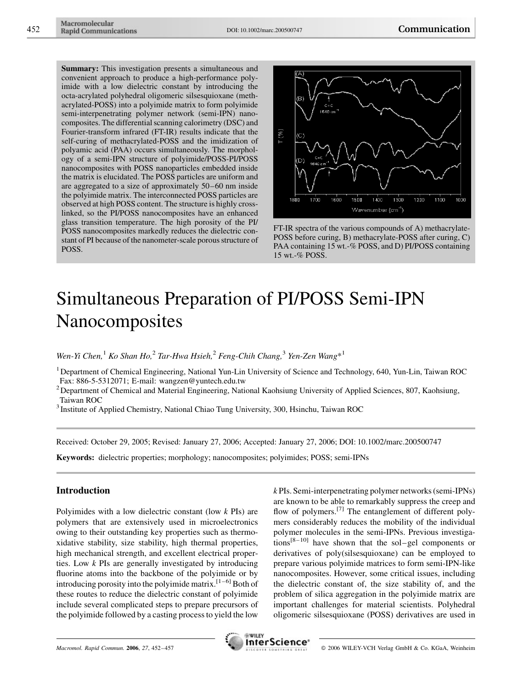Summary: This investigation presents a simultaneous and convenient approach to produce a high-performance polyimide with a low dielectric constant by introducing the octa-acrylated polyhedral oligomeric silsesquioxane (methacrylated-POSS) into a polyimide matrix to form polyimide semi-interpenetrating polymer network (semi-IPN) nanocomposites. The differential scanning calorimetry (DSC) and Fourier-transform infrared (FT-IR) results indicate that the self-curing of methacrylated-POSS and the imidization of polyamic acid (PAA) occurs simultaneously. The morphology of a semi-IPN structure of polyimide/POSS-PI/POSS nanocomposites with POSS nanoparticles embedded inside the matrix is elucidated. The POSS particles are uniform and are aggregated to a size of approximately 50–60 nm inside the polyimide matrix. The interconnected POSS particles are observed at high POSS content. The structure is highly crosslinked, so the PI/POSS nanocomposites have an enhanced glass transition temperature. The high porosity of the PI/ POSS nanocomposites markedly reduces the dielectric constant of PI because of the nanometer-scale porous structure of POSS.



FT-IR spectra of the various compounds of A) methacrylate-POSS before curing, B) methacrylate-POSS after curing, C) PAA containing 15 wt.-% POSS, and D) PI/POSS containing 15 wt.-% POSS.

# Simultaneous Preparation of PI/POSS Semi-IPN Nanocomposites

Wen-Yi Chen,<sup>1</sup> Ko Shan Ho,<sup>2</sup> Tar-Hwa Hsieh,<sup>2</sup> Feng-Chih Chang,<sup>3</sup> Yen-Zen Wang\*<sup>1</sup>

<sup>1</sup> Department of Chemical Engineering, National Yun-Lin University of Science and Technology, 640, Yun-Lin, Taiwan ROC Fax: 886-5-5312071; E-mail: wangzen@yuntech.edu.tw

<sup>2</sup> Department of Chemical and Material Engineering, National Kaohsiung University of Applied Sciences, 807, Kaohsiung, Taiwan ROC

<sup>3</sup> Institute of Applied Chemistry, National Chiao Tung University, 300, Hsinchu, Taiwan ROC

Received: October 29, 2005; Revised: January 27, 2006; Accepted: January 27, 2006; DOI: 10.1002/marc.200500747

Keywords: dielectric properties; morphology; nanocomposites; polyimides; POSS; semi-IPNs

## Introduction

Polyimides with a low dielectric constant (low  $k$  PIs) are polymers that are extensively used in microelectronics owing to their outstanding key properties such as thermoxidative stability, size stability, high thermal properties, high mechanical strength, and excellent electrical properties. Low k PIs are generally investigated by introducing fluorine atoms into the backbone of the polyimide or by introducing porosity into the polyimide matrix.<sup>[1–6]</sup> Both of these routes to reduce the dielectric constant of polyimide include several complicated steps to prepare precursors of the polyimide followed by a casting process to yield the low k PIs. Semi-interpenetrating polymer networks (semi-IPNs) are known to be able to remarkably suppress the creep and flow of polymers.<sup>[7]</sup> The entanglement of different polymers considerably reduces the mobility of the individual polymer molecules in the semi-IPNs. Previous investiga $tions^{[8-10]}$  have shown that the sol–gel components or derivatives of poly(silsesquioxane) can be employed to prepare various polyimide matrices to form semi-IPN-like nanocomposites. However, some critical issues, including the dielectric constant of, the size stability of, and the problem of silica aggregation in the polyimide matrix are important challenges for material scientists. Polyhedral oligomeric silsesquioxane (POSS) derivatives are used in

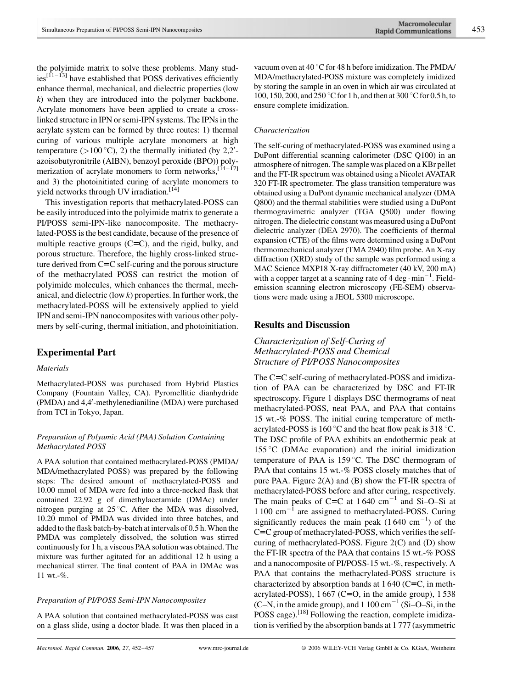the polyimide matrix to solve these problems. Many stud- $\text{ies}^{\left[11-13\right]}$  have established that POSS derivatives efficiently enhance thermal, mechanical, and dielectric properties (low k) when they are introduced into the polymer backbone. Acrylate monomers have been applied to create a crosslinked structure in IPN or semi-IPN systems. The IPNs in the acrylate system can be formed by three routes: 1) thermal curing of various multiple acrylate monomers at high temperature  $(>100 °C)$ , 2) the thermally initiated (by 2,2'azoisobutyronitrile (AIBN), benzoyl peroxide (BPO)) polymerization of acrylate monomers to form networks,  $[14-17]$ and 3) the photoinitiated curing of acrylate monomers to yield networks through UV irradiation.<sup>[14]</sup>

This investigation reports that methacrylated-POSS can be easily introduced into the polyimide matrix to generate a PI/POSS semi-IPN-like nanocomposite. The methacrylated-POSS is the best candidate, because of the presence of multiple reactive groups  $(C = C)$ , and the rigid, bulky, and porous structure. Therefore, the highly cross-linked structure derived from  $C = C$  self-curing and the porous structure of the methacrylated POSS can restrict the motion of polyimide molecules, which enhances the thermal, mechanical, and dielectric (low  $k$ ) properties. In further work, the methacrylated-POSS will be extensively applied to yield IPN and semi-IPN nanocomposites with various other polymers by self-curing, thermal initiation, and photoinitiation.

## Experimental Part

## Materials

Methacrylated-POSS was purchased from Hybrid Plastics Company (Fountain Valley, CA). Pyromellitic dianhydride (PMDA) and 4,4'-methylenedianiline (MDA) were purchased from TCI in Tokyo, Japan.

## Preparation of Polyamic Acid (PAA) Solution Containing Methacrylated POSS

A PAA solution that contained methacrylated-POSS (PMDA/ MDA/methacrylated POSS) was prepared by the following steps: The desired amount of methacrylated-POSS and 10.00 mmol of MDA were fed into a three-necked flask that contained 22.92 g of dimethylacetamide (DMAc) under nitrogen purging at  $25^{\circ}$ C. After the MDA was dissolved, 10.20 mmol of PMDA was divided into three batches, and added to the flask batch-by-batch at intervals of 0.5 h. When the PMDA was completely dissolved, the solution was stirred continuously for 1 h, a viscous PAA solution was obtained. The mixture was further agitated for an additional 12 h using a mechanical stirrer. The final content of PAA in DMAc was 11 wt.-%.

## Preparation of PI/POSS Semi-IPN Nanocomposites

A PAA solution that contained methacrylated-POSS was cast on a glass slide, using a doctor blade. It was then placed in a vacuum oven at  $40^{\circ}$ C for 48 h before imidization. The PMDA/ MDA/methacrylated-POSS mixture was completely imidized by storing the sample in an oven in which air was circulated at 100, 150, 200, and 250  $\degree$ C for 1 h, and then at 300  $\degree$ C for 0.5 h, to ensure complete imidization.

## Characterization

The self-curing of methacrylated-POSS was examined using a DuPont differential scanning calorimeter (DSC Q100) in an atmosphere of nitrogen. The sample was placed on a KBr pellet and the FT-IR spectrum was obtained using a Nicolet AVATAR 320 FT-IR spectrometer. The glass transition temperature was obtained using a DuPont dynamic mechanical analyzer (DMA Q800) and the thermal stabilities were studied using a DuPont thermogravimetric analyzer (TGA Q500) under flowing nitrogen. The dielectric constant was measured using a DuPont dielectric analyzer (DEA 2970). The coefficients of thermal expansion (CTE) of the films were determined using a DuPont thermomechanical analyzer (TMA 2940) film probe. An X-ray diffraction (XRD) study of the sample was performed using a MAC Science MXP18 X-ray diffractometer (40 kV, 200 mA) with a copper target at a scanning rate of  $4 \text{ deg} \cdot \text{min}^{-1}$ . Fieldemission scanning electron microscopy (FE-SEM) observations were made using a JEOL 5300 microscope.

## Results and Discussion

## Characterization of Self-Curing of Methacrylated-POSS and Chemical Structure of PI/POSS Nanocomposites

The C=C self-curing of methacrylated-POSS and imidization of PAA can be characterized by DSC and FT-IR spectroscopy. Figure 1 displays DSC thermograms of neat methacrylated-POSS, neat PAA, and PAA that contains 15 wt.-% POSS. The initial curing temperature of methacrylated-POSS is 160 $\degree$ C and the heat flow peak is 318 $\degree$ C. The DSC profile of PAA exhibits an endothermic peak at 155 °C (DMAc evaporation) and the initial imidization temperature of PAA is  $159^{\circ}$ C. The DSC thermogram of PAA that contains 15 wt.-% POSS closely matches that of pure PAA. Figure 2(A) and (B) show the FT-IR spectra of methacrylated-POSS before and after curing, respectively. The main peaks of C=C at  $1640 \text{ cm}^{-1}$  and Si-O-Si at  $1100 \text{ cm}^{-1}$  are assigned to methacrylated-POSS. Curing significantly reduces the main peak  $(1640 \text{ cm}^{-1})$  of the C=C group of methacrylated-POSS, which verifies the selfcuring of methacrylated-POSS. Figure 2(C) and (D) show the FT-IR spectra of the PAA that contains 15 wt.-% POSS and a nanocomposite of PI/POSS-15 wt.-%, respectively. A PAA that contains the methacrylated-POSS structure is characterized by absorption bands at  $1640$  (C=C, in methacrylated-POSS),  $1667$  (C=O, in the amide group),  $1538$  $(C-N)$ , in the amide group), and 1 100  $cm^{-1}$  (Si-O-Si, in the POSS cage).<sup>[18]</sup> Following the reaction, complete imidization is verified by the absorption bands at 1 777 (asymmetric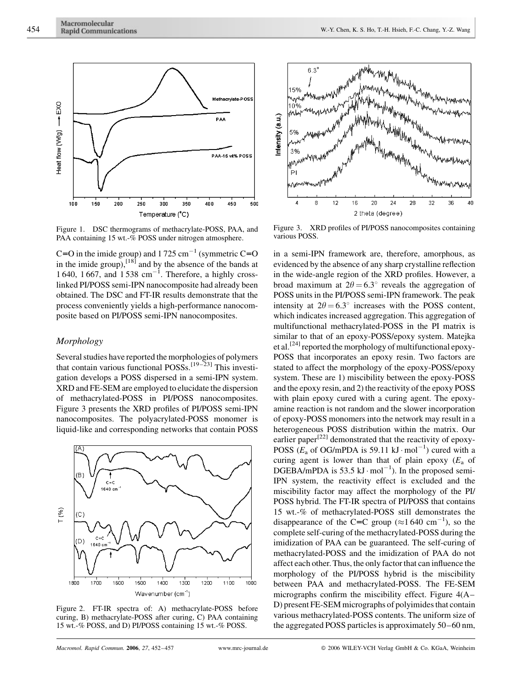

Figure 1. DSC thermograms of methacrylate-POSS, PAA, and PAA containing 15 wt.-% POSS under nitrogen atmosphere.

C=O in the imide group) and  $1725 \text{ cm}^{-1}$  (symmetric C=O in the imide group), $^{[18]}$  and by the absence of the bands at 1 640, 1 667, and  $1538 \text{ cm}^{-1}$ . Therefore, a highly crosslinked PI/POSS semi-IPN nanocomposite had already been obtained. The DSC and FT-IR results demonstrate that the process conveniently yields a high-performance nanocomposite based on PI/POSS semi-IPN nanocomposites.

## Morphology

Several studies have reported the morphologies of polymers that contain various functional POSSs.[19–23] This investigation develops a POSS dispersed in a semi-IPN system. XRD and FE-SEM are employed to elucidate the dispersion of methacrylated-POSS in PI/POSS nanocomposites. Figure 3 presents the XRD profiles of PI/POSS semi-IPN nanocomposites. The polyacrylated-POSS monomer is liquid-like and corresponding networks that contain POSS



Figure 2. FT-IR spectra of: A) methacrylate-POSS before curing, B) methacrylate-POSS after curing, C) PAA containing 15 wt.-% POSS, and D) PI/POSS containing 15 wt.-% POSS.



Figure 3. XRD profiles of PI/POSS nanocomposites containing various POSS.

in a semi-IPN framework are, therefore, amorphous, as evidenced by the absence of any sharp crystalline reflection in the wide-angle region of the XRD profiles. However, a broad maximum at  $2\theta = 6.3^{\circ}$  reveals the aggregation of POSS units in the PI/POSS semi-IPN framework. The peak intensity at  $2\theta = 6.3^{\circ}$  increases with the POSS content, which indicates increased aggregation. This aggregation of multifunctional methacrylated-POSS in the PI matrix is similar to that of an epoxy-POSS/epoxy system. Matejka et al.<sup>[24]</sup> reported the morphology of multifunctional epoxy-POSS that incorporates an epoxy resin. Two factors are stated to affect the morphology of the epoxy-POSS/epoxy system. These are 1) miscibility between the epoxy-POSS and the epoxy resin, and 2) the reactivity of the epoxy POSS with plain epoxy cured with a curing agent. The epoxyamine reaction is not random and the slower incorporation of epoxy-POSS monomers into the network may result in a heterogeneous POSS distribution within the matrix. Our earlier paper<sup>[22]</sup> demonstrated that the reactivity of epoxy-POSS  $(E_a$  of OG/mPDA is 59.11 kJ·mol<sup>-1</sup>) cured with a curing agent is lower than that of plain epoxy  $(E_a)$  of DGEBA/mPDA is 53.5  $kJ \cdot mol^{-1}$ ). In the proposed semi-IPN system, the reactivity effect is excluded and the miscibility factor may affect the morphology of the PI/ POSS hybrid. The FT-IR spectra of PI/POSS that contains 15 wt.-% of methacrylated-POSS still demonstrates the disappearance of the C=C group ( $\approx$ 1640 cm<sup>-1</sup>), so the complete self-curing of the methacrylated-POSS during the imidization of PAA can be guaranteed. The self-curing of methacrylated-POSS and the imidization of PAA do not affect each other. Thus, the only factor that can influence the morphology of the PI/POSS hybrid is the miscibility between PAA and methacrylated-POSS. The FE-SEM micrographs confirm the miscibility effect. Figure 4(A– D) present FE-SEM micrographs of polyimides that contain various methacrylated-POSS contents. The uniform size of the aggregated POSS particles is approximately 50–60 nm,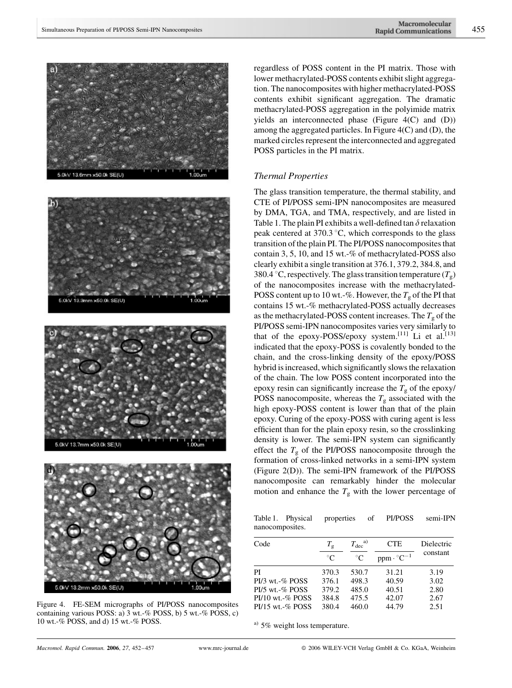







Figure 4. FE-SEM micrographs of PI/POSS nanocomposites containing various POSS: a) 3 wt.-% POSS, b) 5 wt.-% POSS, c) 10 wt.-% POSS, and d) 15 wt.-% POSS.

regardless of POSS content in the PI matrix. Those with lower methacrylated-POSS contents exhibit slight aggregation. The nanocomposites with higher methacrylated-POSS contents exhibit significant aggregation. The dramatic methacrylated-POSS aggregation in the polyimide matrix yields an interconnected phase (Figure 4(C) and (D)) among the aggregated particles. In Figure 4(C) and (D), the marked circles represent the interconnected and aggregated POSS particles in the PI matrix.

#### Thermal Properties

The glass transition temperature, the thermal stability, and CTE of PI/POSS semi-IPN nanocomposites are measured by DMA, TGA, and TMA, respectively, and are listed in Table 1. The plain PI exhibits a well-defined tan  $\delta$  relaxation peak centered at  $370.3 \degree C$ , which corresponds to the glass transition of the plain PI. The PI/POSS nanocomposites that contain 3, 5, 10, and 15 wt.-% of methacrylated-POSS also clearly exhibit a single transition at 376.1, 379.2, 384.8, and 380.4 °C, respectively. The glass transition temperature  $(T_{\rm g})$ of the nanocomposites increase with the methacrylated-POSS content up to 10 wt.-%. However, the  $T_g$  of the PI that contains 15 wt.-% methacrylated-POSS actually decreases as the methacrylated-POSS content increases. The  $T_{\rm g}$  of the PI/POSS semi-IPN nanocomposites varies very similarly to that of the epoxy-POSS/epoxy system.<sup>[11]</sup> Li et al.<sup>[13]</sup> indicated that the epoxy-POSS is covalently bonded to the chain, and the cross-linking density of the epoxy/POSS hybrid is increased, which significantly slows the relaxation of the chain. The low POSS content incorporated into the epoxy resin can significantly increase the  $T_g$  of the epoxy/ POSS nanocomposite, whereas the  $T_g$  associated with the high epoxy-POSS content is lower than that of the plain epoxy. Curing of the epoxy-POSS with curing agent is less efficient than for the plain epoxy resin, so the crosslinking density is lower. The semi-IPN system can significantly effect the  $T_{\rm g}$  of the PI/POSS nanocomposite through the formation of cross-linked networks in a semi-IPN system (Figure 2(D)). The semi-IPN framework of the PI/POSS nanocomposite can remarkably hinder the molecular motion and enhance the  $T_{\rm g}$  with the lower percentage of

Table 1. Physical properties of PI/POSS semi-IPN nanocomposites.

| Code                  | $T_{\rm g}$ | $T_{\rm dec}{}^{\rm a)}$ | <b>CTE</b>                   | Dielectric |
|-----------------------|-------------|--------------------------|------------------------------|------------|
|                       | $^{\circ}C$ | $^{\circ}C$              | $ppm \cdot {}^{\circ}C^{-1}$ | constant   |
| PI                    | 370.3       | 530.7                    | 31.21                        | 3.19       |
| $PI/3$ wt. $-$ % POSS | 376.1       | 498.3                    | 40.59                        | 3.02       |
| $PI/5$ wt. $\%$ POSS  | 379.2       | 485.0                    | 40.51                        | 2.80       |
| $PI/10$ wt. $\%$ POSS | 384.8       | 475.5                    | 42.07                        | 2.67       |
| $PI/15$ wt.-% POSS    | 380.4       | 460.0                    | 44.79                        | 2.51       |

 $^{a)}$  5% weight loss temperature.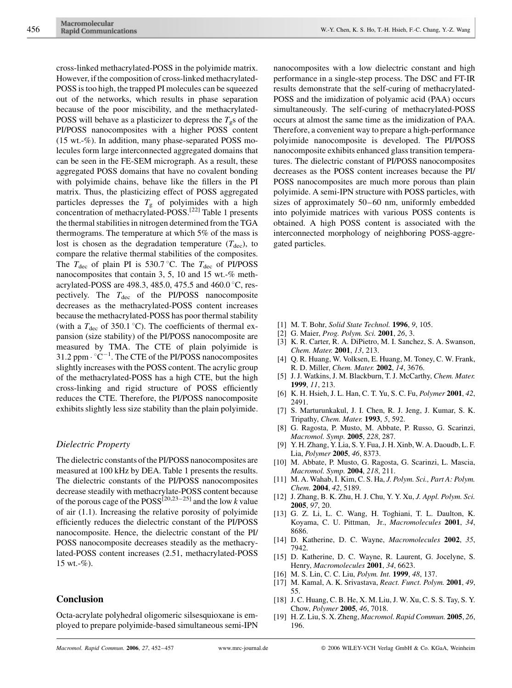cross-linked methacrylated-POSS in the polyimide matrix. However, if the composition of cross-linked methacrylated-POSS is too high, the trapped PI molecules can be squeezed out of the networks, which results in phase separation because of the poor miscibility, and the methacrylated-POSS will behave as a plasticizer to depress the  $T_{\rm g}$ s of the PI/POSS nanocomposites with a higher POSS content (15 wt.-%). In addition, many phase-separated POSS molecules form large interconnected aggregated domains that can be seen in the FE-SEM micrograph. As a result, these aggregated POSS domains that have no covalent bonding with polyimide chains, behave like the fillers in the PI matrix. Thus, the plasticizing effect of POSS aggregated particles depresses the  $T<sub>g</sub>$  of polyimides with a high concentration of methacrylated-POSS.[22] Table 1 presents the thermal stabilities in nitrogen determined from the TGA thermograms. The temperature at which 5% of the mass is lost is chosen as the degradation temperature  $(T_{\text{dec}})$ , to compare the relative thermal stabilities of the composites. The  $T_{\text{dec}}$  of plain PI is 530.7 °C. The  $T_{\text{dec}}$  of PI/POSS nanocomposites that contain 3, 5, 10 and 15 wt.-% methacrylated-POSS are 498.3, 485.0, 475.5 and 460.0 °C, respectively. The  $T_{\text{dec}}$  of the PI/POSS nanocomposite decreases as the methacrylated-POSS content increases because the methacrylated-POSS has poor thermal stability (with a  $T_{\text{dec}}$  of 350.1 °C). The coefficients of thermal expansion (size stability) of the PI/POSS nanocomposite are measured by TMA. The CTE of plain polyimide is 31.2 ppm  $\cdot$  °C<sup>-1</sup>. The CTE of the PI/POSS nanocomposites slightly increases with the POSS content. The acrylic group of the methacrylated-POSS has a high CTE, but the high cross-linking and rigid structure of POSS efficiently reduces the CTE. Therefore, the PI/POSS nanocomposite exhibits slightly less size stability than the plain polyimide.

#### Dielectric Property

The dielectric constants of the PI/POSS nanocomposites are measured at 100 kHz by DEA. Table 1 presents the results. The dielectric constants of the PI/POSS nanocomposites decrease steadily with methacrylate-POSS content because of the porous cage of the  $POSS^{[20,23-25]}$  and the low k value of air (1.1). Increasing the relative porosity of polyimide efficiently reduces the dielectric constant of the PI/POSS nanocomposite. Hence, the dielectric constant of the PI/ POSS nanocomposite decreases steadily as the methacrylated-POSS content increases (2.51, methacrylated-POSS 15 wt.- $%$ ).

## Conclusion

Octa-acrylate polyhedral oligomeric silsesquioxane is employed to prepare polyimide-based simultaneous semi-IPN nanocomposites with a low dielectric constant and high performance in a single-step process. The DSC and FT-IR results demonstrate that the self-curing of methacrylated-POSS and the imidization of polyamic acid (PAA) occurs simultaneously. The self-curing of methacrylated-POSS occurs at almost the same time as the imidization of PAA. Therefore, a convenient way to prepare a high-performance polyimide nanocomposite is developed. The PI/POSS nanocomposite exhibits enhanced glass transition temperatures. The dielectric constant of PI/POSS nanocomposites decreases as the POSS content increases because the PI/ POSS nanocomposites are much more porous than plain polyimide. A semi-IPN structure with POSS particles, with sizes of approximately 50–60 nm, uniformly embedded into polyimide matrices with various POSS contents is obtained. A high POSS content is associated with the interconnected morphology of neighboring POSS-aggregated particles.

- [1] M. T. Bohr, Solid State Technol. 1996, 9, 105.
- [2] G. Maier, *Prog. Polym. Sci.* **2001**, 26, 3.
- [3] K. R. Carter, R. A. DiPietro, M. I. Sanchez, S. A. Swanson, Chem. Mater. 2001, 13, 213.
- [4] Q. R. Huang, W. Volksen, E. Huang, M. Toney, C. W. Frank, R. D. Miller, Chem. Mater. 2002, 14, 3676.
- [5] J. J. Watkins, J. M. Blackburn, T. J. McCarthy, Chem. Mater. 1999, 11, 213.
- [6] K. H. Hsieh, J. L. Han, C. T. Yu, S. C. Fu, Polymer 2001, 42, 2491.
- [7] S. Marturunkakul, J. I. Chen, R. J. Jeng, J. Kumar, S. K. Tripathy, Chem. Mater. 1993, 5, 592.
- [8] G. Ragosta, P. Musto, M. Abbate, P. Russo, G. Scarinzi, Macromol. Symp. 2005, 228, 287.
- [9] Y. H. Zhang, Y. Lia, S. Y. Fua, J. H. Xinb, W. A. Daoudb, L. F. Lia, Polymer 2005, 46, 8373.
- [10] M. Abbate, P. Musto, G. Ragosta, G. Scarinzi, L. Mascia, Macromol. Symp. 2004, 218, 211.
- [11] M. A. Wahab, I. Kim, C. S. Ha, J. Polym. Sci., Part A: Polym. Chem. 2004, 42, 5189.
- [12] J. Zhang, B. K. Zhu, H. J. Chu, Y. Y. Xu, J. Appl. Polym. Sci. 2005, 97, 20.
- [13] G. Z. Li, L. C. Wang, H. Toghiani, T. L. Daulton, K. Koyama, C. U. Pittman, Jr., Macromolecules 2001, 34, 8686.
- [14] D. Katherine, D. C. Wayne, Macromolecules 2002, 35, 7942.
- [15] D. Katherine, D. C. Wayne, R. Laurent, G. Jocelyne, S. Henry, Macromolecules 2001, 34, 6623.
- [16] M. S. Lin, C. C. Liu, *Polym. Int.* **1999**, 48, 137.
- [17] M. Kamal, A. K. Srivastava, React. Funct. Polym. 2001, 49, 55.
- [18] J. C. Huang, C. B. He, X. M. Liu, J. W. Xu, C. S. S. Tay, S. Y. Chow, Polymer 2005, 46, 7018.
- [19] H. Z. Liu, S. X. Zheng, Macromol. Rapid Commun. 2005, 26, 196.